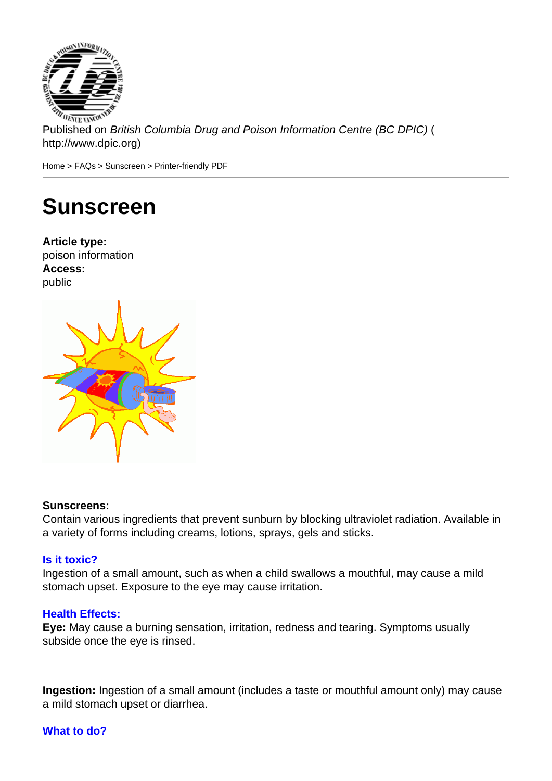Published on British Columbia Drug and Poison Information Centre (BC DPIC) ( http://www.dpic.org)

Home > FAQs > Sunscreen > Printer-friendly PDF

# [Su](http://www.dpic.org/)[nsc](http://www.dpic.org/faq)reen

Article type: poison information Access: public

### Sunscreens:

Contain various ingredients that prevent sunburn by blocking ultraviolet radiation. Available in a variety of forms including creams, lotions, sprays, gels and sticks.

#### Is it toxic?

Ingestion of a small amount, such as when a child swallows a mouthful, may cause a mild stomach upset. Exposure to the eye may cause irritation.

## Health Effects:

Eye: May cause a burning sensation, irritation, redness and tearing. Symptoms usually subside once the eye is rinsed.

Ingestion: Ingestion of a small amount (includes a taste or mouthful amount only) may cause a mild stomach upset or diarrhea.

#### What to do?